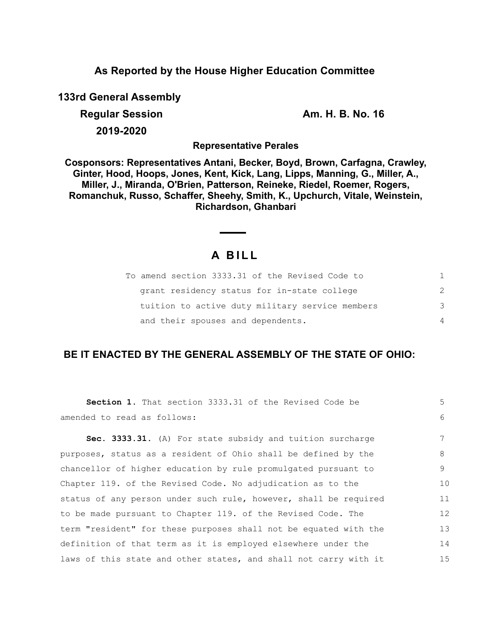### **As Reported by the House Higher Education Committee**

**133rd General Assembly**

**Regular Session Am. H. B. No. 16 2019-2020**

**Representative Perales**

**Cosponsors: Representatives Antani, Becker, Boyd, Brown, Carfagna, Crawley, Ginter, Hood, Hoops, Jones, Kent, Kick, Lang, Lipps, Manning, G., Miller, A., Miller, J., Miranda, O'Brien, Patterson, Reineke, Riedel, Roemer, Rogers, Romanchuk, Russo, Schaffer, Sheehy, Smith, K., Upchurch, Vitale, Weinstein, Richardson, Ghanbari**

# **A B I L L**

 $\overline{\phantom{a}}$ 

| To amend section 3333.31 of the Revised Code to |               |
|-------------------------------------------------|---------------|
| grant residency status for in-state college     | $\mathcal{P}$ |
| tuition to active duty military service members | 3             |
| and their spouses and dependents.               | 4             |

## **BE IT ENACTED BY THE GENERAL ASSEMBLY OF THE STATE OF OHIO:**

| Section 1. That section 3333.31 of the Revised Code be           | 5  |
|------------------------------------------------------------------|----|
| amended to read as follows:                                      | 6  |
| Sec. 3333.31. (A) For state subsidy and tuition surcharge        | 7  |
| purposes, status as a resident of Ohio shall be defined by the   | 8  |
| chancellor of higher education by rule promulgated pursuant to   | 9  |
| Chapter 119. of the Revised Code. No adjudication as to the      | 10 |
| status of any person under such rule, however, shall be required | 11 |
| to be made pursuant to Chapter 119. of the Revised Code. The     | 12 |
| term "resident" for these purposes shall not be equated with the | 13 |
| definition of that term as it is employed elsewhere under the    | 14 |
| laws of this state and other states, and shall not carry with it | 15 |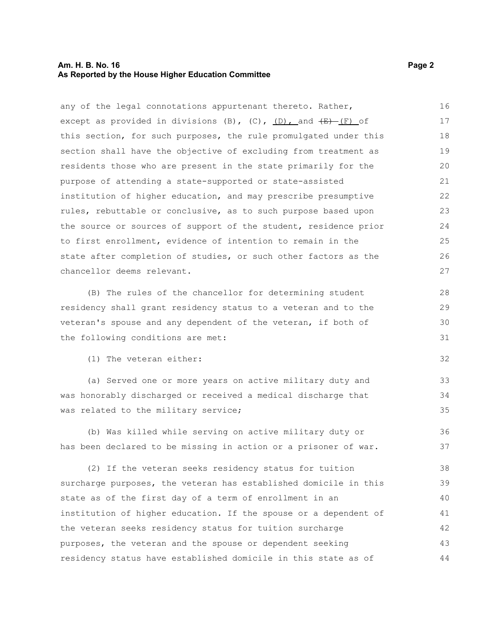#### **Am. H. B. No. 16 Page 2 As Reported by the House Higher Education Committee**

any of the legal connotations appurtenant thereto. Rather, except as provided in divisions (B), (C),  $(D)$ , and  $(E)$  (F) of this section, for such purposes, the rule promulgated under this section shall have the objective of excluding from treatment as residents those who are present in the state primarily for the purpose of attending a state-supported or state-assisted institution of higher education, and may prescribe presumptive rules, rebuttable or conclusive, as to such purpose based upon the source or sources of support of the student, residence prior to first enrollment, evidence of intention to remain in the state after completion of studies, or such other factors as the chancellor deems relevant. (B) The rules of the chancellor for determining student residency shall grant residency status to a veteran and to the 16 17 18 19 20 21 22 23 24 25 26 27 28 29

veteran's spouse and any dependent of the veteran, if both of the following conditions are met:

(1) The veteran either:

(a) Served one or more years on active military duty and was honorably discharged or received a medical discharge that was related to the military service;

(b) Was killed while serving on active military duty or has been declared to be missing in action or a prisoner of war. 36 37

(2) If the veteran seeks residency status for tuition surcharge purposes, the veteran has established domicile in this state as of the first day of a term of enrollment in an institution of higher education. If the spouse or a dependent of the veteran seeks residency status for tuition surcharge purposes, the veteran and the spouse or dependent seeking residency status have established domicile in this state as of 38 39 40 41 42 43 44

30 31

32

33 34 35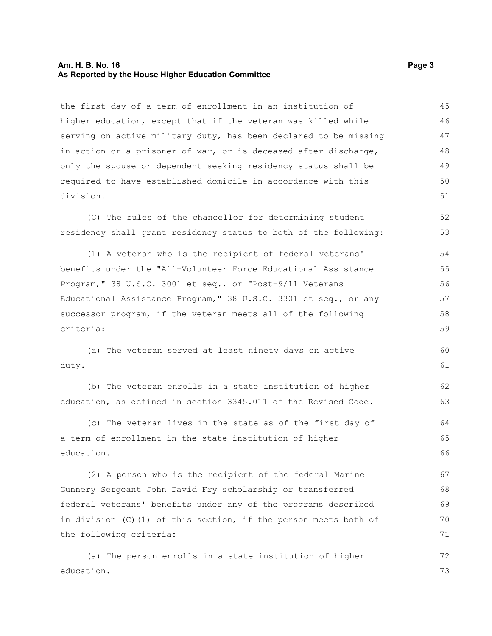#### **Am. H. B. No. 16 Page 3 As Reported by the House Higher Education Committee**

the first day of a term of enrollment in an institution of higher education, except that if the veteran was killed while serving on active military duty, has been declared to be missing in action or a prisoner of war, or is deceased after discharge, only the spouse or dependent seeking residency status shall be required to have established domicile in accordance with this division. 45 46 47 48 49 50 51

(C) The rules of the chancellor for determining student residency shall grant residency status to both of the following: 52 53

(1) A veteran who is the recipient of federal veterans' benefits under the "All-Volunteer Force Educational Assistance Program," 38 U.S.C. 3001 et seq., or "Post-9/11 Veterans Educational Assistance Program," 38 U.S.C. 3301 et seq., or any successor program, if the veteran meets all of the following criteria: 54 55 56 57 58 59

(a) The veteran served at least ninety days on active duty. 60 61

(b) The veteran enrolls in a state institution of higher education, as defined in section 3345.011 of the Revised Code. 62 63

(c) The veteran lives in the state as of the first day of a term of enrollment in the state institution of higher education. 64 65 66

(2) A person who is the recipient of the federal Marine Gunnery Sergeant John David Fry scholarship or transferred federal veterans' benefits under any of the programs described in division (C)(1) of this section, if the person meets both of the following criteria: 67 68 69 70 71

(a) The person enrolls in a state institution of higher education. 72 73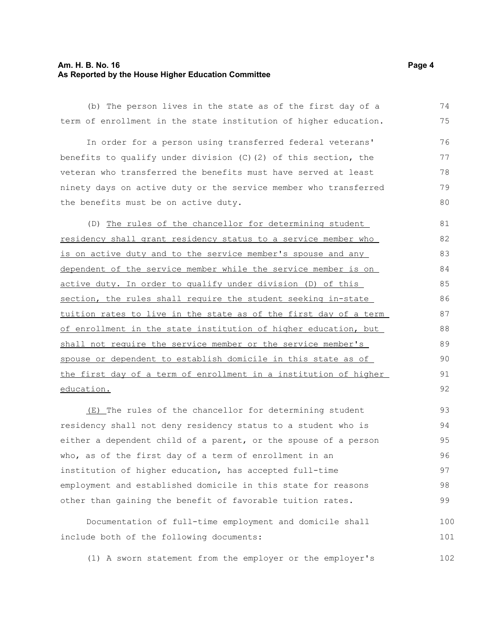#### **Am. H. B. No. 16 Page 4 As Reported by the House Higher Education Committee**

(b) The person lives in the state as of the first day of a term of enrollment in the state institution of higher education. 74 75

In order for a person using transferred federal veterans' benefits to qualify under division (C)(2) of this section, the veteran who transferred the benefits must have served at least ninety days on active duty or the service member who transferred the benefits must be on active duty. 76 77 78 79 80

(D) The rules of the chancellor for determining student residency shall grant residency status to a service member who is on active duty and to the service member's spouse and any dependent of the service member while the service member is on active duty. In order to qualify under division (D) of this section, the rules shall require the student seeking in-state tuition rates to live in the state as of the first day of a term of enrollment in the state institution of higher education, but shall not require the service member or the service member's spouse or dependent to establish domicile in this state as of the first day of a term of enrollment in a institution of higher education. 81 82 83 84 85 86 87 88 89 90 91 92

(E) The rules of the chancellor for determining student residency shall not deny residency status to a student who is either a dependent child of a parent, or the spouse of a person who, as of the first day of a term of enrollment in an institution of higher education, has accepted full-time employment and established domicile in this state for reasons other than gaining the benefit of favorable tuition rates. 93 94 95 96 97 98 99

Documentation of full-time employment and domicile shall include both of the following documents: 100 101

(1) A sworn statement from the employer or the employer's 102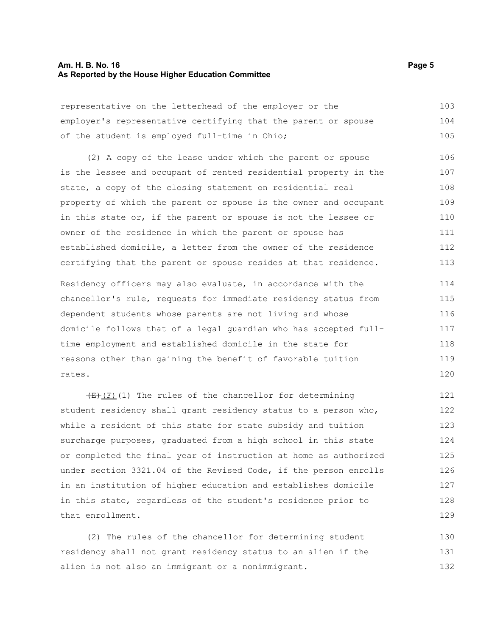#### **Am. H. B. No. 16 Page 5 As Reported by the House Higher Education Committee**

representative on the letterhead of the employer or the employer's representative certifying that the parent or spouse of the student is employed full-time in Ohio; 103 104 105

(2) A copy of the lease under which the parent or spouse is the lessee and occupant of rented residential property in the state, a copy of the closing statement on residential real property of which the parent or spouse is the owner and occupant in this state or, if the parent or spouse is not the lessee or owner of the residence in which the parent or spouse has established domicile, a letter from the owner of the residence certifying that the parent or spouse resides at that residence. 106 107 108 109 110 111 112 113

Residency officers may also evaluate, in accordance with the chancellor's rule, requests for immediate residency status from dependent students whose parents are not living and whose domicile follows that of a legal guardian who has accepted fulltime employment and established domicile in the state for reasons other than gaining the benefit of favorable tuition rates. 114 115 116 117 118 119 120

 $\overline{(E) (F)}$ (1) The rules of the chancellor for determining student residency shall grant residency status to a person who, while a resident of this state for state subsidy and tuition surcharge purposes, graduated from a high school in this state or completed the final year of instruction at home as authorized under section 3321.04 of the Revised Code, if the person enrolls in an institution of higher education and establishes domicile in this state, regardless of the student's residence prior to that enrollment. 121 122 123 124 125 126 127 128 129

(2) The rules of the chancellor for determining student residency shall not grant residency status to an alien if the alien is not also an immigrant or a nonimmigrant. 130 131 132